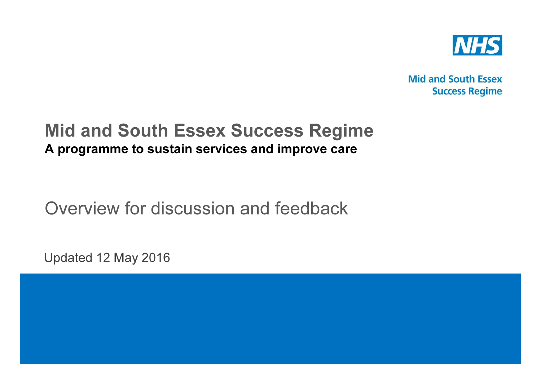

**Mid and South Essex Success Regime** 

## Mid and South Essex Success Regime A programme to sustain services and improve care

Overview for discussion and feedback

Updated 12 May 2016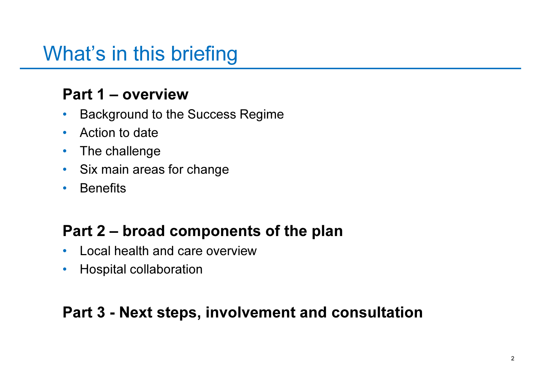# What's in this briefing

## Part 1 – overview

- Background to the Success Regime  $\bullet$
- •Action to date
- •The challenge
- Six main areas for change
- $\bullet$ **Benefits**

## Part 2 – broad components of the plan

- $\bullet$ Local health and care overview
- $\bullet$ Hospital collaboration

## Part 3 - Next steps, involvement and consultation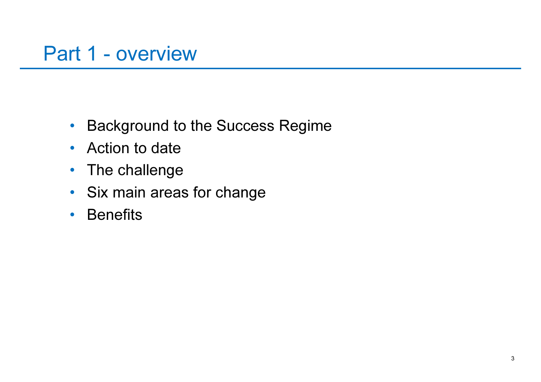# Part 1 - overview

- •Background to the Success Regime
- Action to date
- The challenge
- Six main areas for change
- •**Benefits**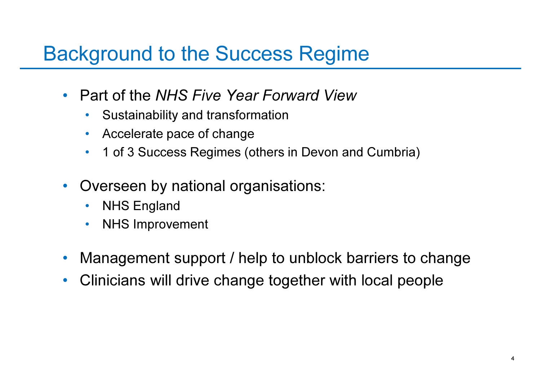# Background to the Success Regime

- Part of the NHS Five Year Forward View
	- $\bullet$ Sustainability and transformation
	- •Accelerate pace of change
	- $\bullet$ 1 of 3 Success Regimes (others in Devon and Cumbria)
- • Overseen by national organisations:
	- $\bullet$ NHS England
	- NHS Improvement •
- •Management support / help to unblock barriers to change
- $\bullet$ Clinicians will drive change together with local people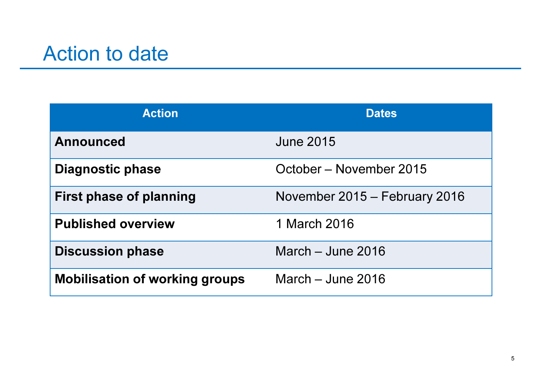# Action to date

| <b>Action</b>                         | <b>Dates</b>                  |
|---------------------------------------|-------------------------------|
| <b>Announced</b>                      | <b>June 2015</b>              |
| Diagnostic phase                      | October – November 2015       |
| <b>First phase of planning</b>        | November 2015 – February 2016 |
| <b>Published overview</b>             | 1 March 2016                  |
| <b>Discussion phase</b>               | March $-$ June 2016           |
| <b>Mobilisation of working groups</b> | March $-$ June 2016           |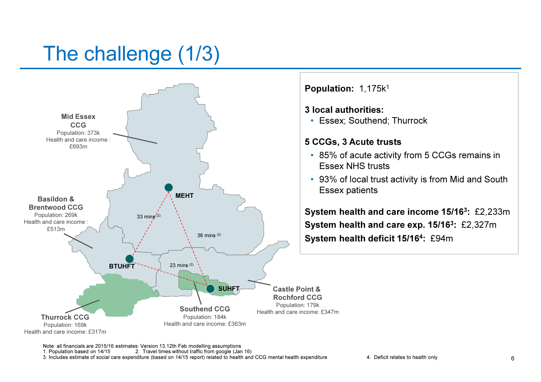# The challenge (1/3)

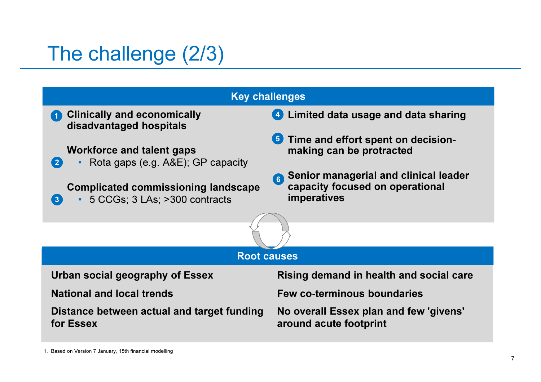# The challenge (2/3)

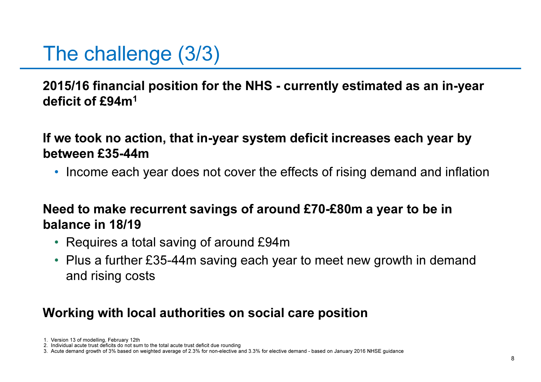# The challenge (3/3)

2015/16 financial position for the NHS - currently estimated as an in-year deficit of £94m1

If we took no action, that in-year system deficit increases each year by between £35-44m

• Income each year does not cover the effects of rising demand and inflation

### Need to make recurrent savings of around £70-£80m a year to be in balance in 18/19

- Requires a total saving of around £94m
- Plus a further £35-44m saving each year to meet new growth in demand and rising costs

## Working with local authorities on social care position

<sup>1.</sup> Version 13 of modelling, February 12th

2. Individual acute trust deficits do not sum to the total acute trust deficit due rounding

3. Acute demand growth of 3% based on weighted average of 2.3% for non-elective and 3.3% for elective demand - based on January 2016 NHSE guidance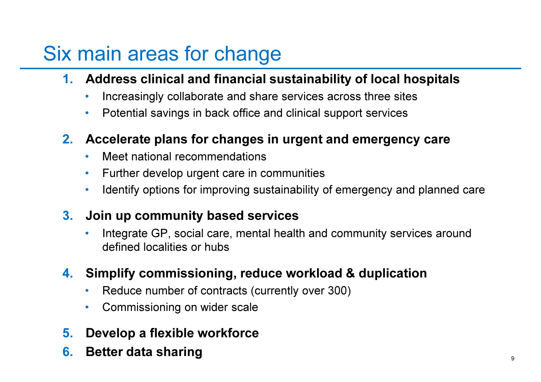# Six main areas for change

- 1. Address clinical and financial sustainability of local hospitals
	- $\bullet$ Increasingly collaborate and share services across three sites
	- •Potential savings in back office and clinical support services

## 2. Accelerate plans for changes in urgent and emergency care

- •Meet national recommendations
- •Further develop urgent care in communities
- •Identify options for improving sustainability of emergency and planned care

## 3. Join up community based services

• Integrate GP, social care, mental health and community services around •defined localities or hubs

## 4. Simplify commissioning, reduce workload & duplication

- •Reduce number of contracts (currently over 300)
- $\bullet$ Commissioning on wider scale
- 5.Develop a flexible workforce
- 6.Better data sharing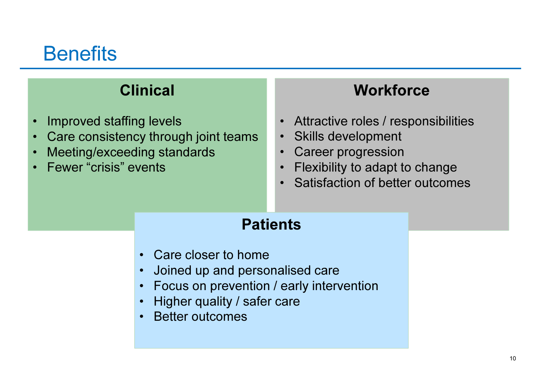# **Benefits**

## Clinical

- •Improved staffing levels
- Care consistency through joint teams $\bullet$
- •Meeting/exceeding standards
- •Fewer "crisis" events

## **Workforce**

- Attractive roles / responsibilities
- •Skills development
- •Career progression
- Flexibility to adapt to change $\bullet$
- Satisfaction of better outcomes•

## **Patients**

- Care closer to home
- Joined up and personalised care•
- Focus on prevention / early intervention•
- •Higher quality / safer care
- •Better outcomes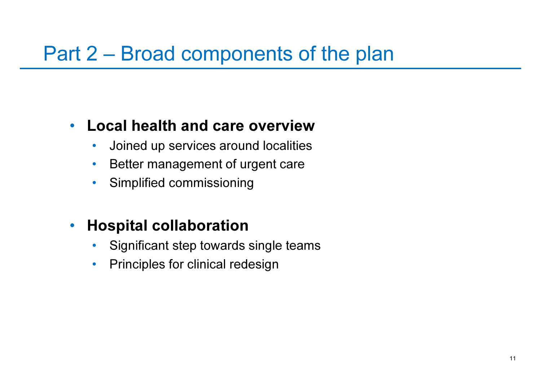# Part 2 – Broad components of the plan

#### •Local health and care overview

- Joined up services around localities $\bullet$
- $\bullet$ Better management of urgent care
- $\bullet$ Simplified commissioning

#### $\bullet$ Hospital collaboration

- Significant step towards single teams $\bullet$
- $\bullet$ Principles for clinical redesign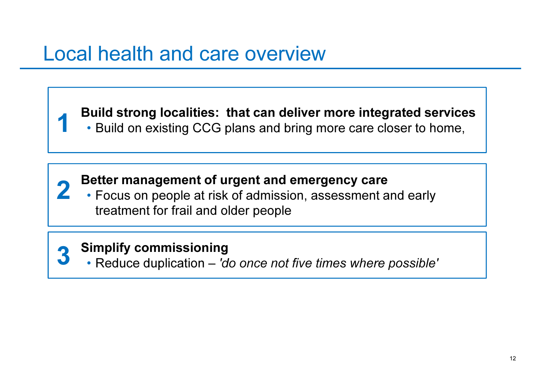# Local health and care overview

Build strong localities: that can deliver more integrated services

• Build on existing CCG plans and bring more care closer to home,

### Better management of urgent and emergency care

 • Focus on people at risk of admission, assessment and early treatment for frail and older people

#### Simplify commissioning3

1

2

• Reduce duplication – 'do once not five times where possible'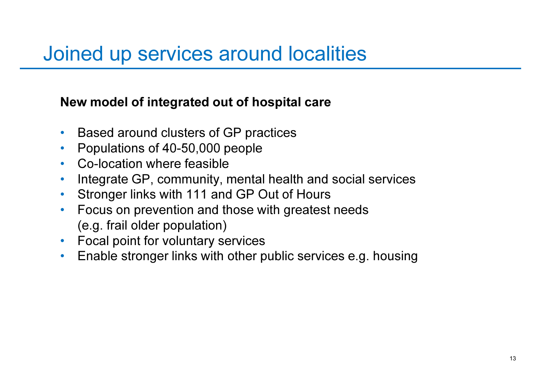# Joined up services around localities

### New model of integrated out of hospital care

- •Based around clusters of GP practices
- $\bullet$ Populations of 40-50,000 people
- •Co-location where feasible
- Integrate GP, community, mental health and social services  $\bullet$
- $\bullet$ Stronger links with 111 and GP Out of Hours
- Focus on prevention and those with greatest needs  $\bullet$ (e.g. frail older population)
- Focal point for voluntary services
- Enable stronger links with other public services e.g. housing•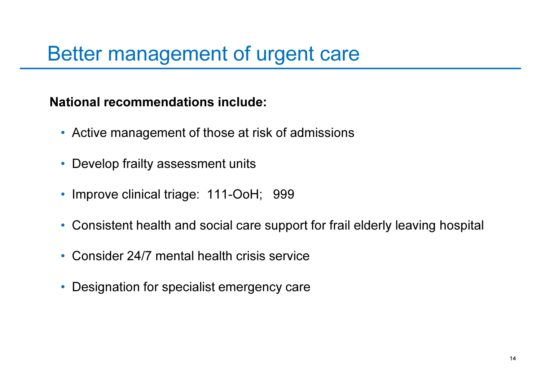# Better management of urgent care

### National recommendations include:

- Active management of those at risk of admissions
- Develop frailty assessment units
- Improve clinical triage: 111-OoH; 999
- Consistent health and social care support for frail elderly leaving hospital
- Consider 24/7 mental health crisis service
- •Designation for specialist emergency care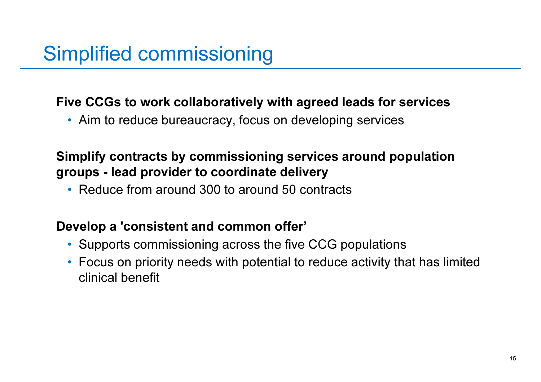## Five CCGs to work collaboratively with agreed leads for services

• Aim to reduce bureaucracy, focus on developing services

## Simplify contracts by commissioning services around population groups - lead provider to coordinate delivery

• Reduce from around 300 to around 50 contracts

### Develop a 'consistent and common offer'

- Supports commissioning across the five CCG populations
- Focus on priority needs with potential to reduce activity that has limited clinical benefit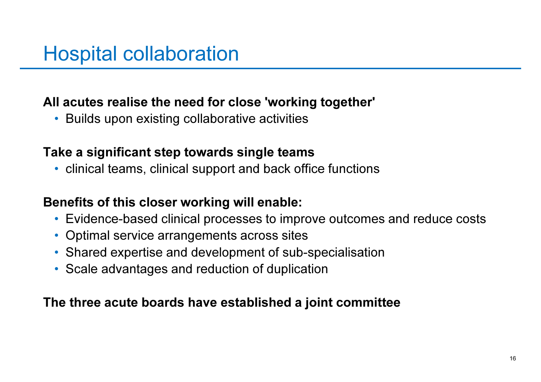## All acutes realise the need for close 'working together'

• Builds upon existing collaborative activities

## Take a significant step towards single teams

• clinical teams, clinical support and back office functions

## Benefits of this closer working will enable:

- Evidence-based clinical processes to improve outcomes and reduce costs
- Optimal service arrangements across sites
- Shared expertise and development of sub-specialisation
- Scale advantages and reduction of duplication

### The three acute boards have established a joint committee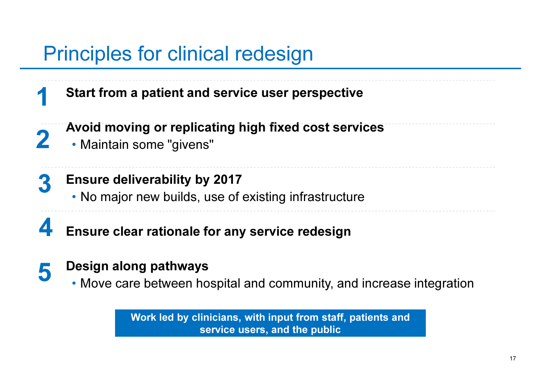# Principles for clinical redesign

Start from a patient and service user perspective

- Avoid moving or replicating high fixed cost services
	- Maintain some "givens"

1

2

- Ensure deliverability by 20173
	- No major new builds, use of existing infrastructure
- Ensure clear rationale for any service redesign4

#### Design along pathways5

• Move care between hospital and community, and increase integration

Work led by clinicians, with input from staff, patients and service users, and the public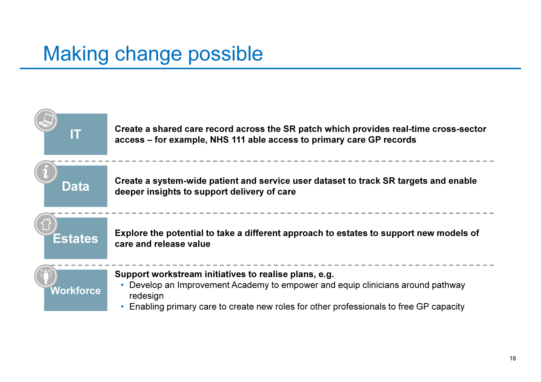# Making change possible